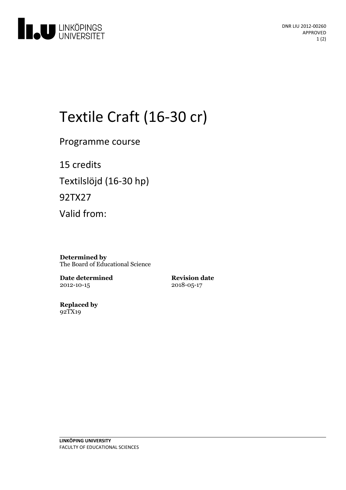

# Textile Craft (16-30 cr)

Programme course

15 credits Textilslöjd (16-30 hp) 92TX27 Valid from:

**Determined by** The Board of Educational Science

**Date determined** 2012-10-15

**Revision date** 2018-05-17

**Replaced by** 92TX19